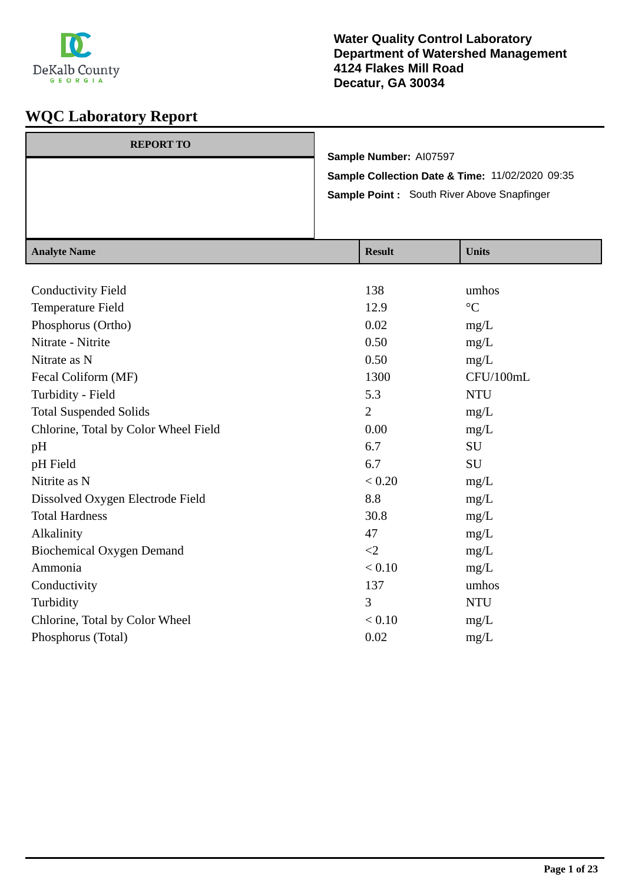

| <b>REPORT TO</b> |                                                 |
|------------------|-------------------------------------------------|
|                  | Sample Number: AI07597                          |
|                  | Sample Collection Date & Time: 11/02/2020 09:35 |
|                  | Sample Point: South River Above Snapfinger      |
|                  |                                                 |
|                  |                                                 |

| <b>Analyte Name</b>                  | <b>Result</b>  | <b>Units</b>    |
|--------------------------------------|----------------|-----------------|
|                                      |                |                 |
| <b>Conductivity Field</b>            | 138            | umhos           |
| Temperature Field                    | 12.9           | $\rm ^{\circ}C$ |
| Phosphorus (Ortho)                   | 0.02           | mg/L            |
| Nitrate - Nitrite                    | 0.50           | mg/L            |
| Nitrate as N                         | 0.50           | mg/L            |
| Fecal Coliform (MF)                  | 1300           | CFU/100mL       |
| Turbidity - Field                    | 5.3            | <b>NTU</b>      |
| <b>Total Suspended Solids</b>        | $\overline{2}$ | mg/L            |
| Chlorine, Total by Color Wheel Field | 0.00           | mg/L            |
| pH                                   | 6.7            | SU              |
| pH Field                             | 6.7            | SU              |
| Nitrite as N                         | < 0.20         | mg/L            |
| Dissolved Oxygen Electrode Field     | 8.8            | mg/L            |
| <b>Total Hardness</b>                | 30.8           | mg/L            |
| Alkalinity                           | 47             | mg/L            |
| <b>Biochemical Oxygen Demand</b>     | $\langle 2$    | mg/L            |
| Ammonia                              | < 0.10         | mg/L            |
| Conductivity                         | 137            | umhos           |
| Turbidity                            | 3              | <b>NTU</b>      |
| Chlorine, Total by Color Wheel       | < 0.10         | mg/L            |
| Phosphorus (Total)                   | 0.02           | mg/L            |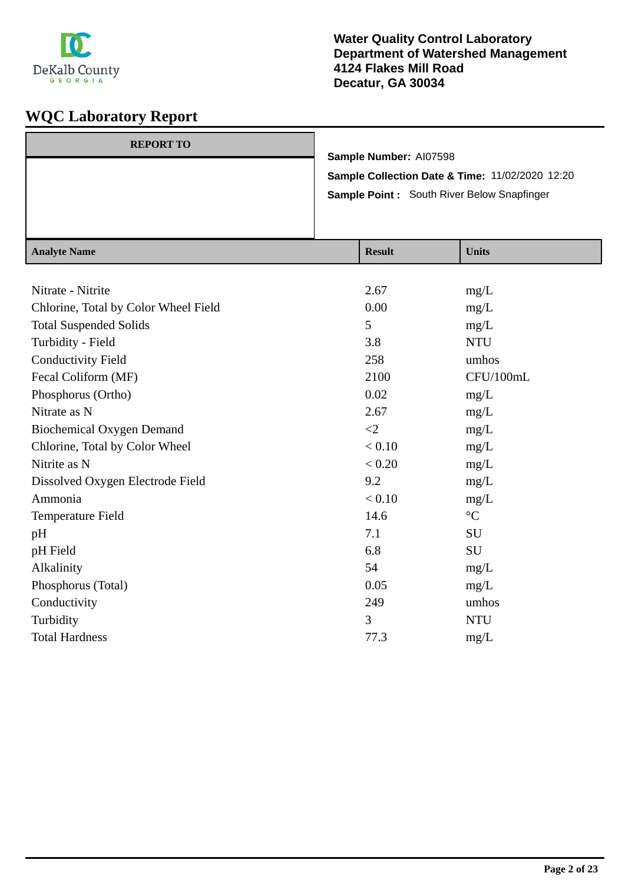

| <b>REPORT TO</b> |                                                 |
|------------------|-------------------------------------------------|
|                  | Sample Number: AI07598                          |
|                  | Sample Collection Date & Time: 11/02/2020 12:20 |
|                  | Sample Point: South River Below Snapfinger      |
|                  |                                                 |
|                  |                                                 |

| <b>Analyte Name</b>                  | <b>Result</b> | <b>Units</b>    |
|--------------------------------------|---------------|-----------------|
|                                      |               |                 |
| Nitrate - Nitrite                    | 2.67          | mg/L            |
| Chlorine, Total by Color Wheel Field | 0.00          | mg/L            |
| <b>Total Suspended Solids</b>        | 5             | mg/L            |
| Turbidity - Field                    | 3.8           | <b>NTU</b>      |
| <b>Conductivity Field</b>            | 258           | umhos           |
| Fecal Coliform (MF)                  | 2100          | CFU/100mL       |
| Phosphorus (Ortho)                   | 0.02          | mg/L            |
| Nitrate as N                         | 2.67          | mg/L            |
| <b>Biochemical Oxygen Demand</b>     | $\leq$ 2      | mg/L            |
| Chlorine, Total by Color Wheel       | < 0.10        | mg/L            |
| Nitrite as N                         | $< 0.20$      | mg/L            |
| Dissolved Oxygen Electrode Field     | 9.2           | mg/L            |
| Ammonia                              | < 0.10        | mg/L            |
| Temperature Field                    | 14.6          | $\rm ^{\circ}C$ |
| pH                                   | 7.1           | <b>SU</b>       |
| pH Field                             | 6.8           | SU              |
| Alkalinity                           | 54            | mg/L            |
| Phosphorus (Total)                   | 0.05          | mg/L            |
| Conductivity                         | 249           | umhos           |
| Turbidity                            | 3             | <b>NTU</b>      |
| <b>Total Hardness</b>                | 77.3          | mg/L            |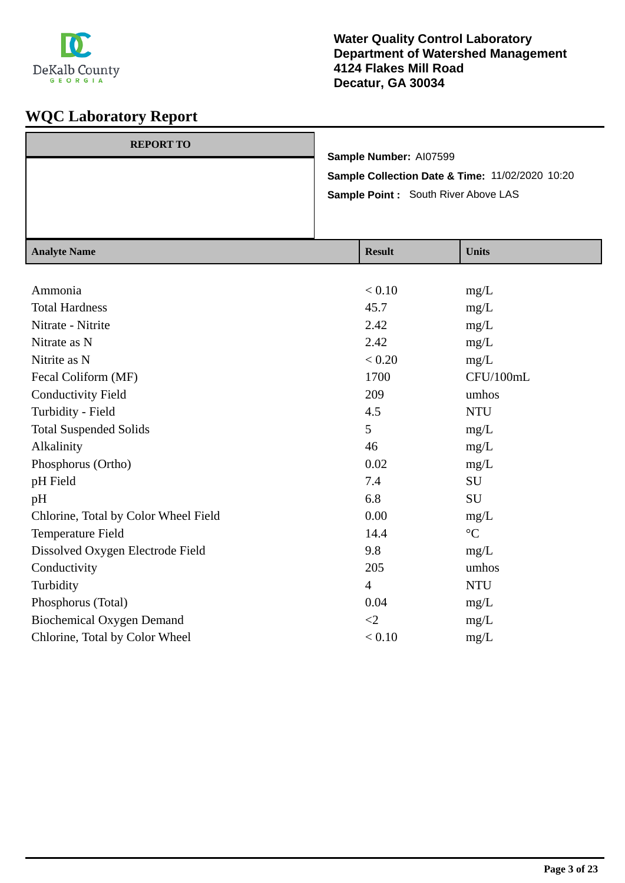

| <b>REPORT TO</b> |                                                 |
|------------------|-------------------------------------------------|
|                  | Sample Number: AI07599                          |
|                  | Sample Collection Date & Time: 11/02/2020 10:20 |
|                  | Sample Point: South River Above LAS             |
|                  |                                                 |
|                  |                                                 |

| <b>Result</b>  | <b>Units</b>      |
|----------------|-------------------|
|                |                   |
| < 0.10         | mg/L              |
| 45.7           | mg/L              |
| 2.42           | mg/L              |
| 2.42           | mg/L              |
| < 0.20         | mg/L              |
| 1700           | CFU/100mL         |
| 209            | umhos             |
| 4.5            | <b>NTU</b>        |
| 5              | mg/L              |
| 46             | mg/L              |
| 0.02           | mg/L              |
| 7.4            | SU                |
| 6.8            | SU                |
| 0.00           | mg/L              |
| 14.4           | $^{\circ}{\rm C}$ |
| 9.8            | mg/L              |
| 205            | umhos             |
| $\overline{4}$ | <b>NTU</b>        |
| 0.04           | mg/L              |
| $\leq$ 2       | mg/L              |
| < 0.10         | mg/L              |
|                |                   |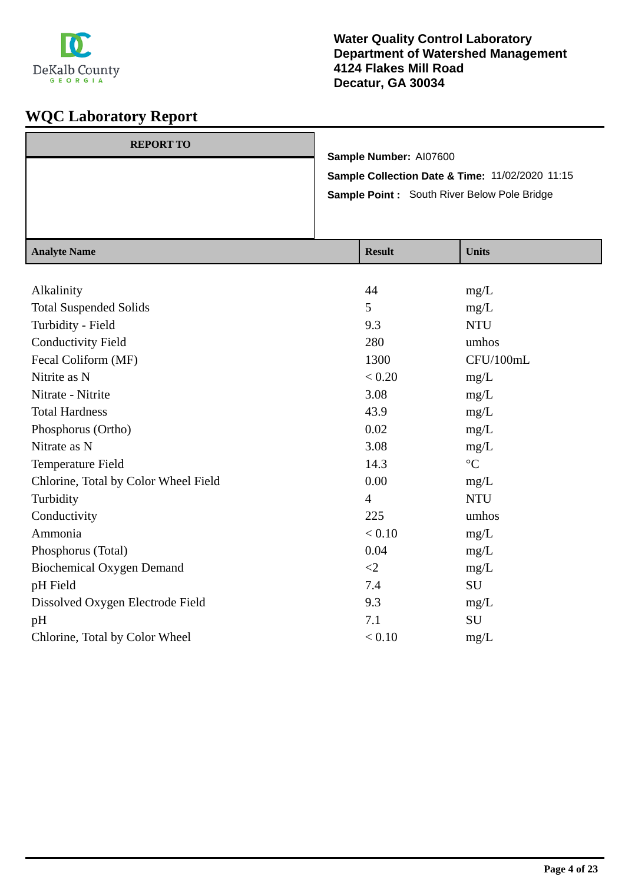

| <b>REPORT TO</b> |                                                 |
|------------------|-------------------------------------------------|
|                  | Sample Number: AI07600                          |
|                  | Sample Collection Date & Time: 11/02/2020 11:15 |
|                  | Sample Point : South River Below Pole Bridge    |
|                  |                                                 |
|                  |                                                 |

| <b>Analyte Name</b>                  | <b>Result</b>  | <b>Units</b>    |
|--------------------------------------|----------------|-----------------|
|                                      |                |                 |
| Alkalinity                           | 44             | mg/L            |
| <b>Total Suspended Solids</b>        | 5              | mg/L            |
| Turbidity - Field                    | 9.3            | <b>NTU</b>      |
| <b>Conductivity Field</b>            | 280            | umhos           |
| Fecal Coliform (MF)                  | 1300           | CFU/100mL       |
| Nitrite as N                         | < 0.20         | mg/L            |
| Nitrate - Nitrite                    | 3.08           | mg/L            |
| <b>Total Hardness</b>                | 43.9           | mg/L            |
| Phosphorus (Ortho)                   | 0.02           | mg/L            |
| Nitrate as N                         | 3.08           | mg/L            |
| Temperature Field                    | 14.3           | $\rm ^{\circ}C$ |
| Chlorine, Total by Color Wheel Field | 0.00           | mg/L            |
| Turbidity                            | $\overline{4}$ | <b>NTU</b>      |
| Conductivity                         | 225            | umhos           |
| Ammonia                              | < 0.10         | mg/L            |
| Phosphorus (Total)                   | 0.04           | mg/L            |
| <b>Biochemical Oxygen Demand</b>     | $\leq$ 2       | mg/L            |
| pH Field                             | 7.4            | SU              |
| Dissolved Oxygen Electrode Field     | 9.3            | mg/L            |
| pH                                   | 7.1            | SU              |
| Chlorine, Total by Color Wheel       | < 0.10         | mg/L            |
|                                      |                |                 |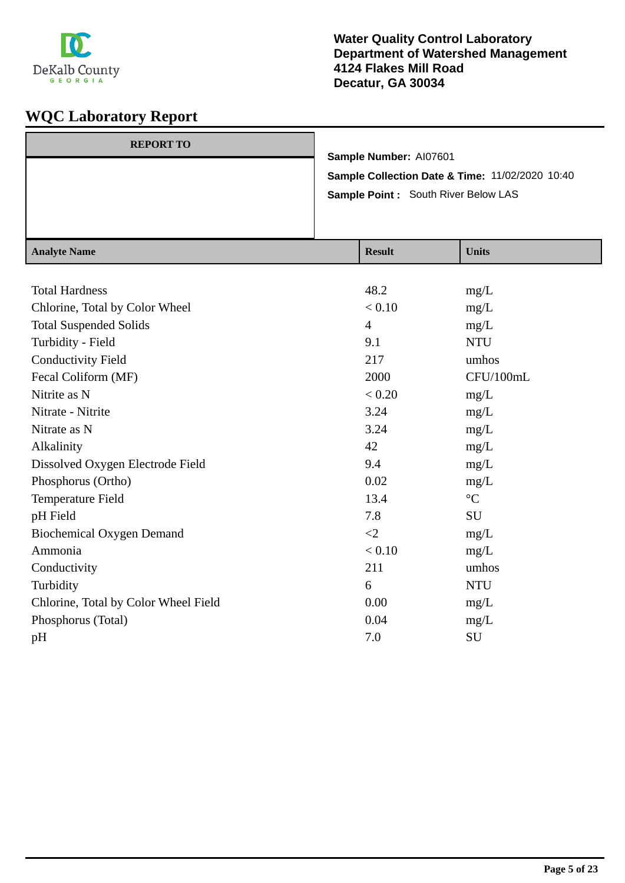

| <b>REPORT TO</b> |                                                 |
|------------------|-------------------------------------------------|
|                  | Sample Number: AI07601                          |
|                  | Sample Collection Date & Time: 11/02/2020 10:40 |
|                  | Sample Point: South River Below LAS             |
|                  |                                                 |
|                  |                                                 |

| <b>Analyte Name</b>                  | <b>Result</b>  | <b>Units</b>    |
|--------------------------------------|----------------|-----------------|
|                                      |                |                 |
| <b>Total Hardness</b>                | 48.2           | mg/L            |
| Chlorine, Total by Color Wheel       | < 0.10         | mg/L            |
| <b>Total Suspended Solids</b>        | $\overline{4}$ | mg/L            |
| Turbidity - Field                    | 9.1            | <b>NTU</b>      |
| <b>Conductivity Field</b>            | 217            | umhos           |
| Fecal Coliform (MF)                  | 2000           | CFU/100mL       |
| Nitrite as N                         | < 0.20         | mg/L            |
| Nitrate - Nitrite                    | 3.24           | mg/L            |
| Nitrate as N                         | 3.24           | mg/L            |
| Alkalinity                           | 42             | mg/L            |
| Dissolved Oxygen Electrode Field     | 9.4            | mg/L            |
| Phosphorus (Ortho)                   | 0.02           | mg/L            |
| Temperature Field                    | 13.4           | $\rm ^{\circ}C$ |
| pH Field                             | 7.8            | SU              |
| <b>Biochemical Oxygen Demand</b>     | $\leq$ 2       | mg/L            |
| Ammonia                              | < 0.10         | mg/L            |
| Conductivity                         | 211            | umhos           |
| Turbidity                            | 6              | <b>NTU</b>      |
| Chlorine, Total by Color Wheel Field | 0.00           | mg/L            |
| Phosphorus (Total)                   | 0.04           | mg/L            |
| pH                                   | 7.0            | SU              |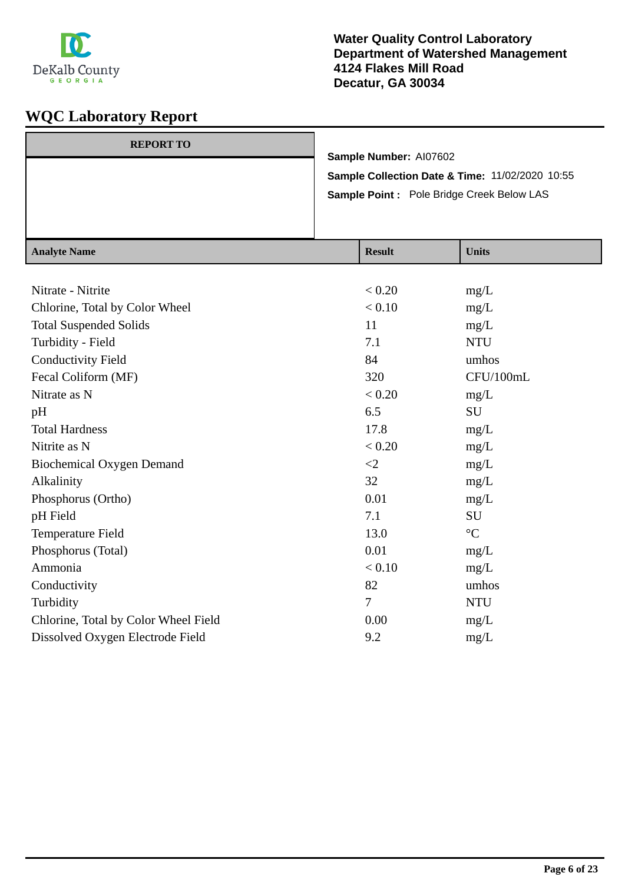

| <b>REPORT TO</b> |                                                 |
|------------------|-------------------------------------------------|
|                  | Sample Number: AI07602                          |
|                  | Sample Collection Date & Time: 11/02/2020 10:55 |
|                  | Sample Point : Pole Bridge Creek Below LAS      |
|                  |                                                 |
|                  |                                                 |

| <b>Analyte Name</b>                  | <b>Result</b>  | <b>Units</b>    |
|--------------------------------------|----------------|-----------------|
|                                      |                |                 |
| Nitrate - Nitrite                    | < 0.20         | mg/L            |
| Chlorine, Total by Color Wheel       | < 0.10         | mg/L            |
| <b>Total Suspended Solids</b>        | 11             | mg/L            |
| Turbidity - Field                    | 7.1            | <b>NTU</b>      |
| <b>Conductivity Field</b>            | 84             | umhos           |
| Fecal Coliform (MF)                  | 320            | CFU/100mL       |
| Nitrate as N                         | < 0.20         | mg/L            |
| pH                                   | 6.5            | SU              |
| <b>Total Hardness</b>                | 17.8           | mg/L            |
| Nitrite as N                         | < 0.20         | mg/L            |
| <b>Biochemical Oxygen Demand</b>     | $\leq$ 2       | mg/L            |
| Alkalinity                           | 32             | mg/L            |
| Phosphorus (Ortho)                   | 0.01           | mg/L            |
| pH Field                             | 7.1            | SU              |
| Temperature Field                    | 13.0           | $\rm ^{\circ}C$ |
| Phosphorus (Total)                   | 0.01           | mg/L            |
| Ammonia                              | < 0.10         | mg/L            |
| Conductivity                         | 82             | umhos           |
| Turbidity                            | $\overline{7}$ | <b>NTU</b>      |
| Chlorine, Total by Color Wheel Field | 0.00           | mg/L            |
| Dissolved Oxygen Electrode Field     | 9.2            | mg/L            |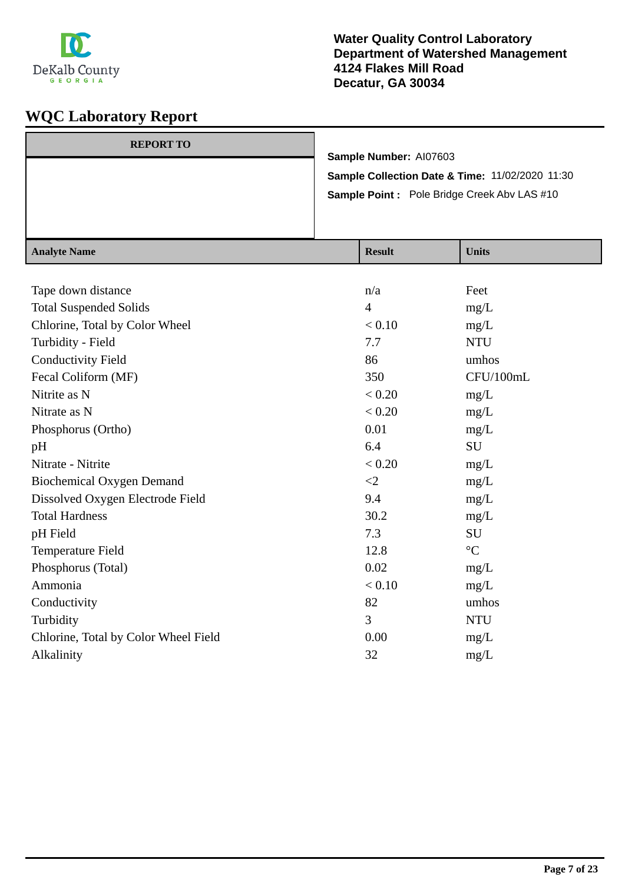

| <b>REPORT TO</b> |                                                    |
|------------------|----------------------------------------------------|
|                  | Sample Number: AI07603                             |
|                  | Sample Collection Date & Time: 11/02/2020 11:30    |
|                  | <b>Sample Point:</b> Pole Bridge Creek Abv LAS #10 |
|                  |                                                    |
|                  |                                                    |

| <b>Analyte Name</b>                  | <b>Result</b>  | <b>Units</b>      |
|--------------------------------------|----------------|-------------------|
|                                      |                |                   |
| Tape down distance                   | n/a            | Feet              |
| <b>Total Suspended Solids</b>        | $\overline{4}$ | mg/L              |
| Chlorine, Total by Color Wheel       | < 0.10         | mg/L              |
| Turbidity - Field                    | 7.7            | <b>NTU</b>        |
| <b>Conductivity Field</b>            | 86             | umhos             |
| Fecal Coliform (MF)                  | 350            | CFU/100mL         |
| Nitrite as N                         | < 0.20         | mg/L              |
| Nitrate as N                         | < 0.20         | mg/L              |
| Phosphorus (Ortho)                   | 0.01           | mg/L              |
| pH                                   | 6.4            | SU                |
| Nitrate - Nitrite                    | < 0.20         | mg/L              |
| <b>Biochemical Oxygen Demand</b>     | $\leq$ 2       | mg/L              |
| Dissolved Oxygen Electrode Field     | 9.4            | mg/L              |
| <b>Total Hardness</b>                | 30.2           | mg/L              |
| pH Field                             | 7.3            | SU                |
| Temperature Field                    | 12.8           | $^{\circ}{\rm C}$ |
| Phosphorus (Total)                   | 0.02           | mg/L              |
| Ammonia                              | < 0.10         | mg/L              |
| Conductivity                         | 82             | umhos             |
| Turbidity                            | 3              | <b>NTU</b>        |
| Chlorine, Total by Color Wheel Field | 0.00           | mg/L              |
| Alkalinity                           | 32             | mg/L              |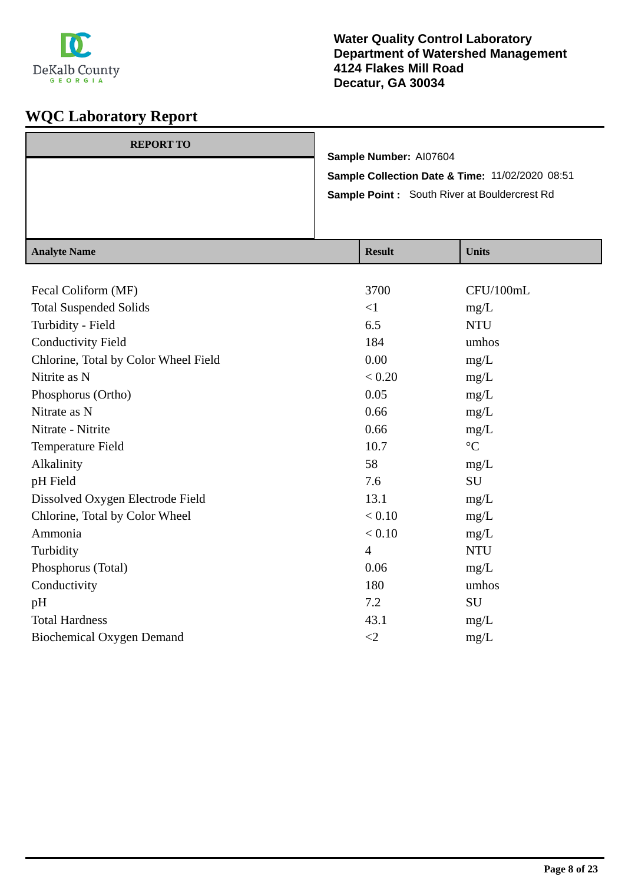

| <b>REPORT TO</b> |                                                     |
|------------------|-----------------------------------------------------|
|                  | Sample Number: AI07604                              |
|                  | Sample Collection Date & Time: 11/02/2020 08:51     |
|                  | <b>Sample Point:</b> South River at Bouldercrest Rd |
|                  |                                                     |
|                  |                                                     |

| <b>Analyte Name</b>                  | <b>Result</b>  | <b>Units</b>      |
|--------------------------------------|----------------|-------------------|
|                                      |                |                   |
| Fecal Coliform (MF)                  | 3700           | CFU/100mL         |
| <b>Total Suspended Solids</b>        | $\leq$ 1       | mg/L              |
| Turbidity - Field                    | 6.5            | <b>NTU</b>        |
| <b>Conductivity Field</b>            | 184            | umhos             |
| Chlorine, Total by Color Wheel Field | 0.00           | mg/L              |
| Nitrite as N                         | < 0.20         | mg/L              |
| Phosphorus (Ortho)                   | 0.05           | mg/L              |
| Nitrate as N                         | 0.66           | mg/L              |
| Nitrate - Nitrite                    | 0.66           | mg/L              |
| Temperature Field                    | 10.7           | $^{\circ}{\rm C}$ |
| Alkalinity                           | 58             | mg/L              |
| pH Field                             | 7.6            | SU                |
| Dissolved Oxygen Electrode Field     | 13.1           | mg/L              |
| Chlorine, Total by Color Wheel       | < 0.10         | mg/L              |
| Ammonia                              | < 0.10         | mg/L              |
| Turbidity                            | $\overline{4}$ | <b>NTU</b>        |
| Phosphorus (Total)                   | 0.06           | mg/L              |
| Conductivity                         | 180            | umhos             |
| pH                                   | 7.2            | SU                |
| <b>Total Hardness</b>                | 43.1           | mg/L              |
| <b>Biochemical Oxygen Demand</b>     | $\leq$ 2       | mg/L              |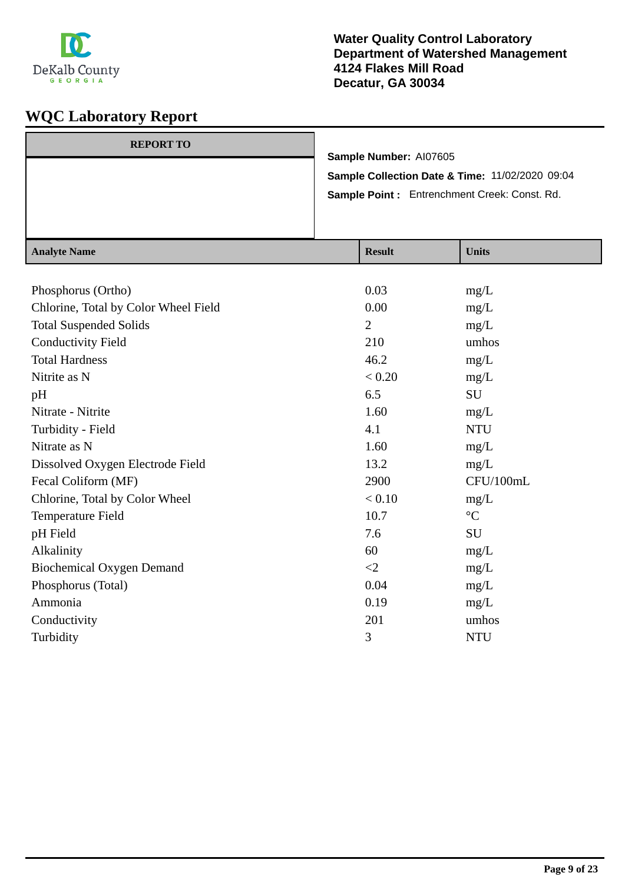

### **Water Quality Control Laboratory Department of Watershed Management 4124 Flakes Mill Road Decatur, GA 30034**

| <b>REPORT TO</b> |                                                 |
|------------------|-------------------------------------------------|
|                  | Sample Number: AI07605                          |
|                  | Sample Collection Date & Time: 11/02/2020 09:04 |
|                  | Sample Point: Entrenchment Creek: Const. Rd.    |
|                  |                                                 |
|                  |                                                 |

| <b>Analyte Name</b>                  | <b>Result</b>  | <b>Units</b>    |
|--------------------------------------|----------------|-----------------|
|                                      |                |                 |
| Phosphorus (Ortho)                   | 0.03           | mg/L            |
| Chlorine, Total by Color Wheel Field | 0.00           | mg/L            |
| <b>Total Suspended Solids</b>        | $\overline{2}$ | mg/L            |
| <b>Conductivity Field</b>            | 210            | umhos           |
| <b>Total Hardness</b>                | 46.2           | mg/L            |
| Nitrite as N                         | < 0.20         | mg/L            |
| pH                                   | 6.5            | <b>SU</b>       |
| Nitrate - Nitrite                    | 1.60           | mg/L            |
| Turbidity - Field                    | 4.1            | <b>NTU</b>      |
| Nitrate as N                         | 1.60           | mg/L            |
| Dissolved Oxygen Electrode Field     | 13.2           | mg/L            |
| Fecal Coliform (MF)                  | 2900           | CFU/100mL       |
| Chlorine, Total by Color Wheel       | < 0.10         | mg/L            |
| Temperature Field                    | 10.7           | $\rm ^{\circ}C$ |
| pH Field                             | 7.6            | SU              |
| Alkalinity                           | 60             | mg/L            |
| <b>Biochemical Oxygen Demand</b>     | $\leq$ 2       | mg/L            |
| Phosphorus (Total)                   | 0.04           | mg/L            |
| Ammonia                              | 0.19           | mg/L            |
| Conductivity                         | 201            | umhos           |
| Turbidity                            | 3              | <b>NTU</b>      |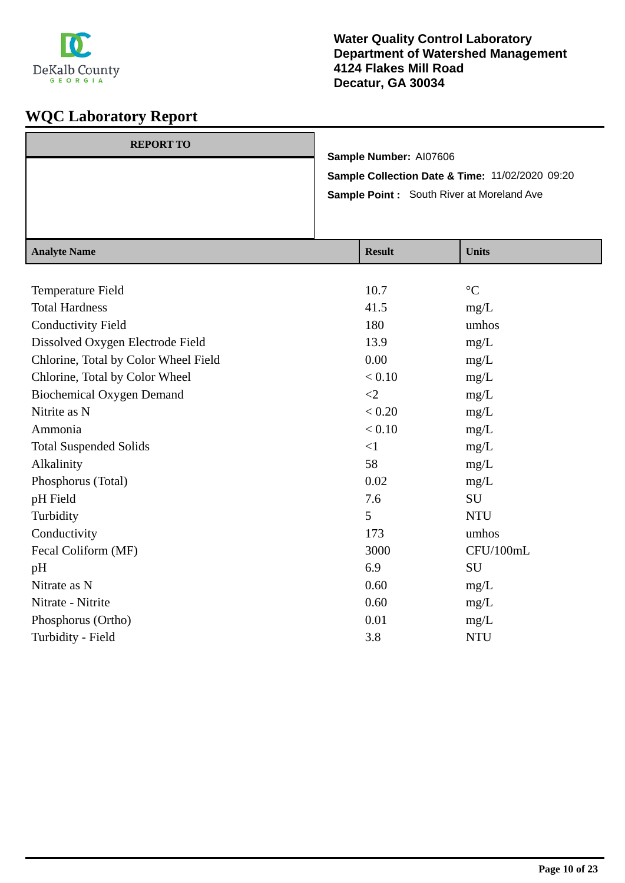

| <b>REPORT TO</b> |                                                  |
|------------------|--------------------------------------------------|
|                  | Sample Number: AI07606                           |
|                  | Sample Collection Date & Time: 11/02/2020 09:20  |
|                  | <b>Sample Point:</b> South River at Moreland Ave |
|                  |                                                  |
|                  |                                                  |

| <b>Analyte Name</b>                  | <b>Result</b> | <b>Units</b>    |
|--------------------------------------|---------------|-----------------|
|                                      |               |                 |
| Temperature Field                    | 10.7          | $\rm ^{\circ}C$ |
| <b>Total Hardness</b>                | 41.5          | mg/L            |
| <b>Conductivity Field</b>            | 180           | umhos           |
| Dissolved Oxygen Electrode Field     | 13.9          | mg/L            |
| Chlorine, Total by Color Wheel Field | 0.00          | mg/L            |
| Chlorine, Total by Color Wheel       | < 0.10        | mg/L            |
| <b>Biochemical Oxygen Demand</b>     | $\leq$ 2      | mg/L            |
| Nitrite as N                         | < 0.20        | mg/L            |
| Ammonia                              | < 0.10        | mg/L            |
| <b>Total Suspended Solids</b>        | $<$ 1         | mg/L            |
| Alkalinity                           | 58            | mg/L            |
| Phosphorus (Total)                   | 0.02          | mg/L            |
| pH Field                             | 7.6           | SU              |
| Turbidity                            | 5             | <b>NTU</b>      |
| Conductivity                         | 173           | umhos           |
| Fecal Coliform (MF)                  | 3000          | CFU/100mL       |
| pH                                   | 6.9           | SU              |
| Nitrate as N                         | 0.60          | mg/L            |
| Nitrate - Nitrite                    | 0.60          | mg/L            |
| Phosphorus (Ortho)                   | 0.01          | mg/L            |
| Turbidity - Field                    | 3.8           | <b>NTU</b>      |
|                                      |               |                 |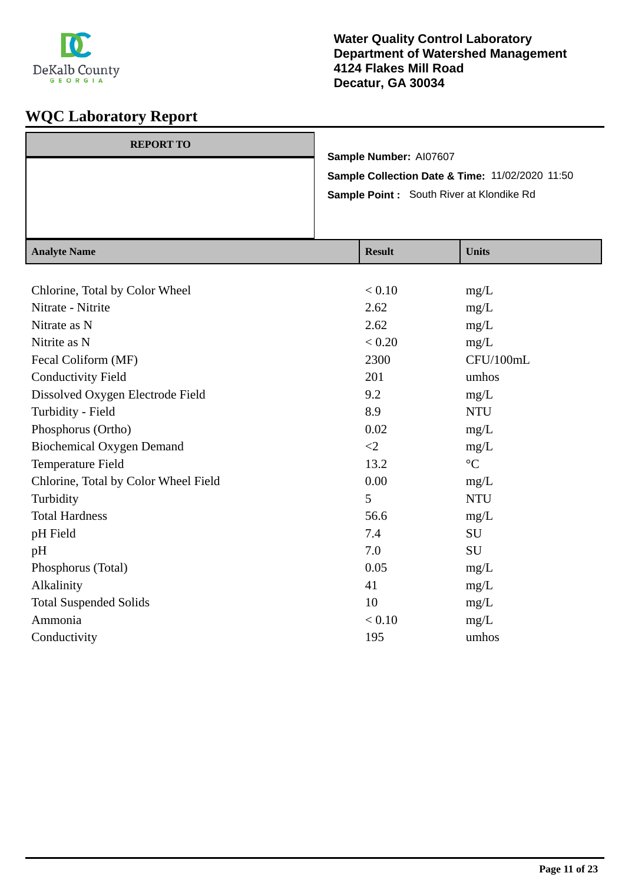

| <b>REPORT TO</b><br>Sample Number: AI07607<br>Sample Collection Date & Time: 11/02/2020 11:50 |                                          |  |
|-----------------------------------------------------------------------------------------------|------------------------------------------|--|
|                                                                                               | Sample Point: South River at Klondike Rd |  |
|                                                                                               |                                          |  |
|                                                                                               |                                          |  |
|                                                                                               |                                          |  |

| <b>Analyte Name</b>                  | <b>Result</b> | <b>Units</b>    |
|--------------------------------------|---------------|-----------------|
|                                      |               |                 |
| Chlorine, Total by Color Wheel       | < 0.10        | mg/L            |
| Nitrate - Nitrite                    | 2.62          | mg/L            |
| Nitrate as N                         | 2.62          | mg/L            |
| Nitrite as N                         | < 0.20        | mg/L            |
| Fecal Coliform (MF)                  | 2300          | CFU/100mL       |
| <b>Conductivity Field</b>            | 201           | umhos           |
| Dissolved Oxygen Electrode Field     | 9.2           | mg/L            |
| Turbidity - Field                    | 8.9           | <b>NTU</b>      |
| Phosphorus (Ortho)                   | 0.02          | mg/L            |
| <b>Biochemical Oxygen Demand</b>     | $\langle 2$   | mg/L            |
| Temperature Field                    | 13.2          | $\rm ^{\circ}C$ |
| Chlorine, Total by Color Wheel Field | 0.00          | mg/L            |
| Turbidity                            | 5             | <b>NTU</b>      |
| <b>Total Hardness</b>                | 56.6          | mg/L            |
| pH Field                             | 7.4           | SU              |
| pH                                   | 7.0           | SU              |
| Phosphorus (Total)                   | 0.05          | mg/L            |
| Alkalinity                           | 41            | mg/L            |
| <b>Total Suspended Solids</b>        | 10            | mg/L            |
| Ammonia                              | < 0.10        | mg/L            |
| Conductivity                         | 195           | umhos           |
|                                      |               |                 |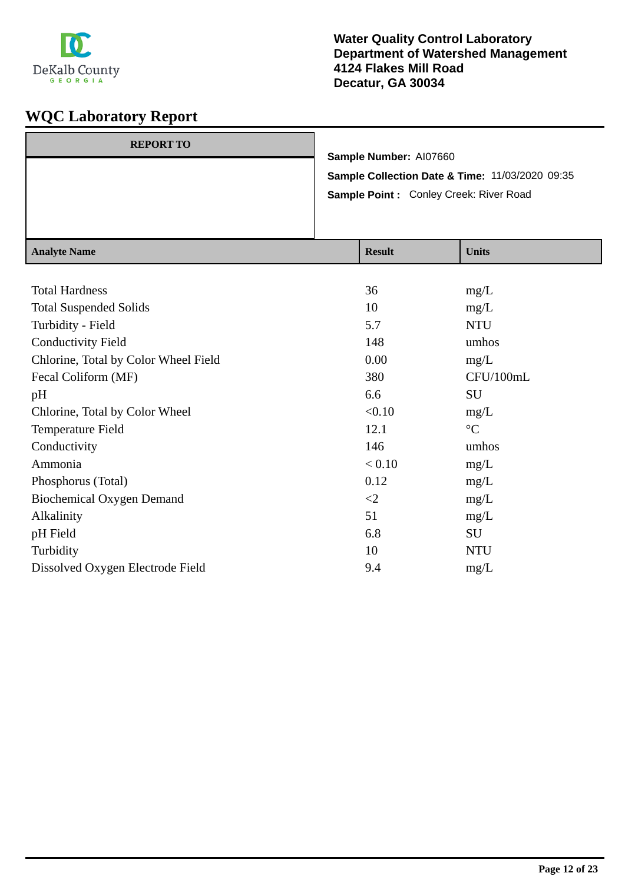

| <b>REPORT TO</b> |                                                            |
|------------------|------------------------------------------------------------|
|                  | Sample Number: AI07660                                     |
|                  | <b>Sample Collection Date &amp; Time: 11/03/2020 09:35</b> |
|                  | Sample Point: Conley Creek: River Road                     |
|                  |                                                            |
|                  |                                                            |

| <b>Analyte Name</b>                  | <b>Result</b> | <b>Units</b>    |
|--------------------------------------|---------------|-----------------|
|                                      |               |                 |
| <b>Total Hardness</b>                | 36            | mg/L            |
| <b>Total Suspended Solids</b>        | 10            | mg/L            |
| Turbidity - Field                    | 5.7           | <b>NTU</b>      |
| <b>Conductivity Field</b>            | 148           | umhos           |
| Chlorine, Total by Color Wheel Field | 0.00          | mg/L            |
| Fecal Coliform (MF)                  | 380           | CFU/100mL       |
| pH                                   | 6.6           | SU              |
| Chlorine, Total by Color Wheel       | < 0.10        | mg/L            |
| Temperature Field                    | 12.1          | $\rm ^{\circ}C$ |
| Conductivity                         | 146           | umhos           |
| Ammonia                              | < 0.10        | mg/L            |
| Phosphorus (Total)                   | 0.12          | mg/L            |
| <b>Biochemical Oxygen Demand</b>     | $\leq$ 2      | mg/L            |
| Alkalinity                           | 51            | mg/L            |
| pH Field                             | 6.8           | SU              |
| Turbidity                            | 10            | <b>NTU</b>      |
| Dissolved Oxygen Electrode Field     | 9.4           | mg/L            |
|                                      |               |                 |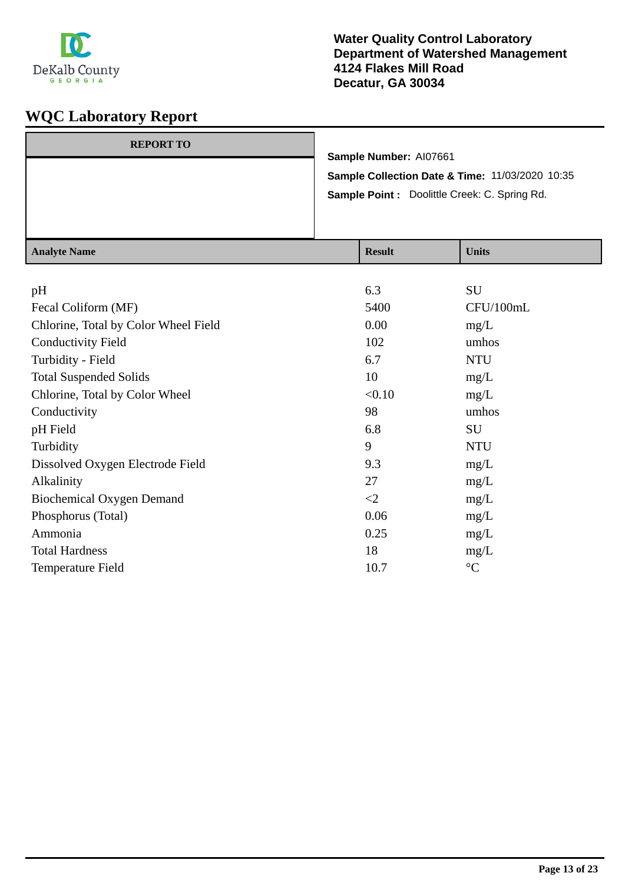

| <b>REPORT TO</b> |                                                 |  |
|------------------|-------------------------------------------------|--|
|                  | Sample Number: AI07661                          |  |
|                  | Sample Collection Date & Time: 11/03/2020 10:35 |  |
|                  | Sample Point : Doolittle Creek: C. Spring Rd.   |  |
|                  |                                                 |  |
|                  |                                                 |  |

| <b>Analyte Name</b>                  | <b>Result</b> | <b>Units</b>    |
|--------------------------------------|---------------|-----------------|
|                                      |               |                 |
| pH                                   | 6.3           | SU              |
| Fecal Coliform (MF)                  | 5400          | CFU/100mL       |
| Chlorine, Total by Color Wheel Field | 0.00          | mg/L            |
| <b>Conductivity Field</b>            | 102           | umhos           |
| Turbidity - Field                    | 6.7           | <b>NTU</b>      |
| <b>Total Suspended Solids</b>        | 10            | mg/L            |
| Chlorine, Total by Color Wheel       | < 0.10        | mg/L            |
| Conductivity                         | 98            | umhos           |
| pH Field                             | 6.8           | SU              |
| Turbidity                            | 9             | <b>NTU</b>      |
| Dissolved Oxygen Electrode Field     | 9.3           | mg/L            |
| Alkalinity                           | 27            | mg/L            |
| <b>Biochemical Oxygen Demand</b>     | $\leq$ 2      | mg/L            |
| Phosphorus (Total)                   | 0.06          | mg/L            |
| Ammonia                              | 0.25          | mg/L            |
| <b>Total Hardness</b>                | 18            | mg/L            |
| Temperature Field                    | 10.7          | $\rm ^{\circ}C$ |
|                                      |               |                 |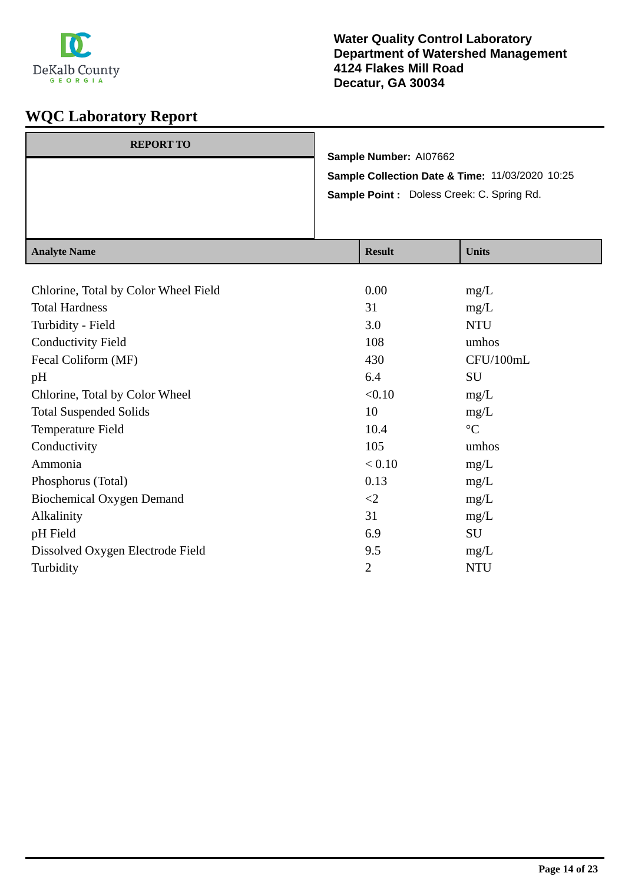

| $A = -1 - 4 - N$ |                                                                           | $\mathbf{D}$ . $\mathbf{L}$ |  | $TT - 24 -$                                |
|------------------|---------------------------------------------------------------------------|-----------------------------|--|--------------------------------------------|
|                  |                                                                           |                             |  | Sample Point : Doless Creek: C. Spring Rd. |
|                  | Sample Number: AI07662<br>Sample Collection Date & Time: 11/03/2020 10:25 |                             |  |                                            |
| <b>REPORT TO</b> |                                                                           |                             |  |                                            |

| <b>Analyte Name</b>                  | <b>Result</b>  | <b>Units</b>    |
|--------------------------------------|----------------|-----------------|
|                                      |                |                 |
| Chlorine, Total by Color Wheel Field | 0.00           | mg/L            |
| <b>Total Hardness</b>                | 31             | mg/L            |
| Turbidity - Field                    | 3.0            | <b>NTU</b>      |
| <b>Conductivity Field</b>            | 108            | umhos           |
| Fecal Coliform (MF)                  | 430            | CFU/100mL       |
| pH                                   | 6.4            | SU              |
| Chlorine, Total by Color Wheel       | < 0.10         | mg/L            |
| <b>Total Suspended Solids</b>        | 10             | mg/L            |
| Temperature Field                    | 10.4           | $\rm ^{\circ}C$ |
| Conductivity                         | 105            | umhos           |
| Ammonia                              | < 0.10         | mg/L            |
| Phosphorus (Total)                   | 0.13           | mg/L            |
| Biochemical Oxygen Demand            | $\leq$         | mg/L            |
| Alkalinity                           | 31             | mg/L            |
| pH Field                             | 6.9            | SU              |
| Dissolved Oxygen Electrode Field     | 9.5            | mg/L            |
| Turbidity                            | $\overline{2}$ | <b>NTU</b>      |
|                                      |                |                 |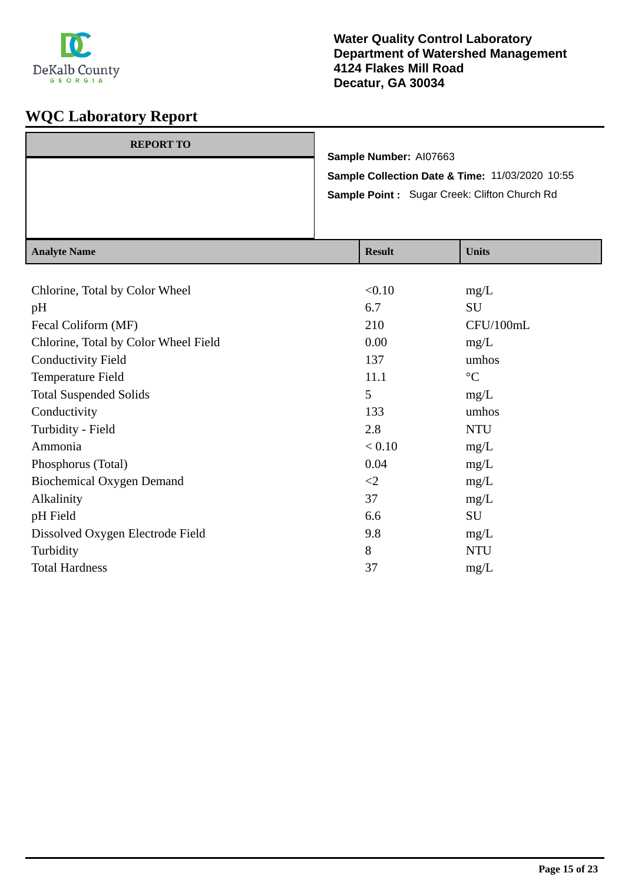

### **Water Quality Control Laboratory Department of Watershed Management 4124 Flakes Mill Road Decatur, GA 30034**

| $A$ notre Nome   |                                                                           | Sample Point: Sugar Creek: Clifton Church Rd<br>$\mathbf{D}_{\alpha}$ . 14 | $\mathbf{H}$ <sub>1</sub> : $\mathbf{L}$ |
|------------------|---------------------------------------------------------------------------|----------------------------------------------------------------------------|------------------------------------------|
| <b>REPORT TO</b> | Sample Number: AI07663<br>Sample Collection Date & Time: 11/03/2020 10:55 |                                                                            |                                          |

| Analyte Name                         | Result   | UMILS           |
|--------------------------------------|----------|-----------------|
|                                      |          |                 |
| Chlorine, Total by Color Wheel       | < 0.10   | mg/L            |
| pH                                   | 6.7      | <b>SU</b>       |
| Fecal Coliform (MF)                  | 210      | CFU/100mL       |
| Chlorine, Total by Color Wheel Field | 0.00     | mg/L            |
| <b>Conductivity Field</b>            | 137      | umhos           |
| Temperature Field                    | 11.1     | $\rm ^{\circ}C$ |
| <b>Total Suspended Solids</b>        | 5        | mg/L            |
| Conductivity                         | 133      | umhos           |
| Turbidity - Field                    | 2.8      | <b>NTU</b>      |
| Ammonia                              | < 0.10   | mg/L            |
| Phosphorus (Total)                   | 0.04     | mg/L            |
| <b>Biochemical Oxygen Demand</b>     | $\leq$ 2 | mg/L            |
| Alkalinity                           | 37       | mg/L            |
| pH Field                             | 6.6      | SU              |
| Dissolved Oxygen Electrode Field     | 9.8      | mg/L            |
| Turbidity                            | 8        | <b>NTU</b>      |
| <b>Total Hardness</b>                | 37       | mg/L            |
|                                      |          |                 |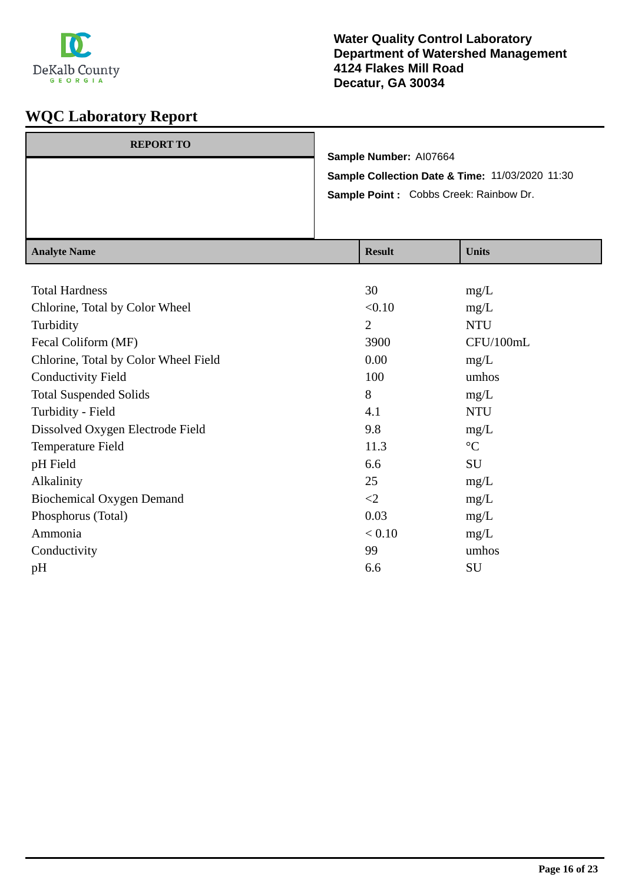

| <b>REPORT TO</b> |                                                 |
|------------------|-------------------------------------------------|
|                  | Sample Number: AI07664                          |
|                  | Sample Collection Date & Time: 11/03/2020 11:30 |
|                  | Sample Point : Cobbs Creek: Rainbow Dr.         |
|                  |                                                 |
|                  |                                                 |

| <b>Analyte Name</b>                  | <b>Result</b>  | <b>Units</b>    |
|--------------------------------------|----------------|-----------------|
|                                      |                |                 |
| <b>Total Hardness</b>                | 30             | mg/L            |
| Chlorine, Total by Color Wheel       | < 0.10         | mg/L            |
| Turbidity                            | $\overline{2}$ | <b>NTU</b>      |
| Fecal Coliform (MF)                  | 3900           | CFU/100mL       |
| Chlorine, Total by Color Wheel Field | 0.00           | mg/L            |
| <b>Conductivity Field</b>            | 100            | umhos           |
| <b>Total Suspended Solids</b>        | 8              | mg/L            |
| Turbidity - Field                    | 4.1            | <b>NTU</b>      |
| Dissolved Oxygen Electrode Field     | 9.8            | mg/L            |
| Temperature Field                    | 11.3           | $\rm ^{\circ}C$ |
| pH Field                             | 6.6            | SU              |
| Alkalinity                           | 25             | mg/L            |
| <b>Biochemical Oxygen Demand</b>     | $\leq$         | mg/L            |
| Phosphorus (Total)                   | 0.03           | mg/L            |
| Ammonia                              | < 0.10         | mg/L            |
| Conductivity                         | 99             | umhos           |
| pH                                   | 6.6            | SU              |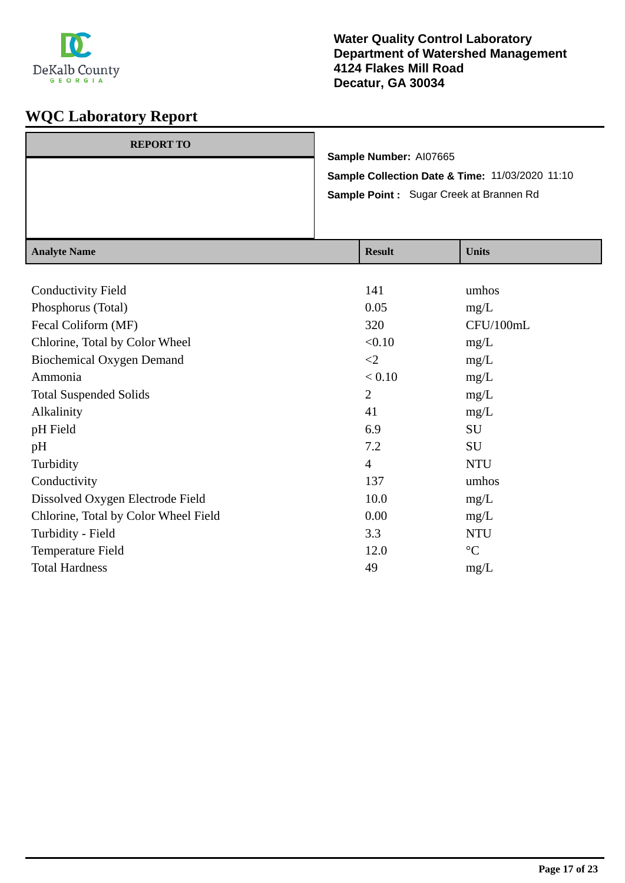

| Sample Collection Date & Time: 11/03/2020 11:10<br>Sample Point: Sugar Creek at Brannen Rd |  |
|--------------------------------------------------------------------------------------------|--|
| Sample Number: AI07665                                                                     |  |
| <b>REPORT TO</b>                                                                           |  |

| <b>Analyte Name</b>                  | <b>Result</b>  | <b>Units</b>    |
|--------------------------------------|----------------|-----------------|
|                                      |                |                 |
| <b>Conductivity Field</b>            | 141            | umhos           |
| Phosphorus (Total)                   | 0.05           | mg/L            |
| Fecal Coliform (MF)                  | 320            | CFU/100mL       |
| Chlorine, Total by Color Wheel       | < 0.10         | mg/L            |
| <b>Biochemical Oxygen Demand</b>     | $\leq$         | mg/L            |
| Ammonia                              | < 0.10         | mg/L            |
| <b>Total Suspended Solids</b>        | $\overline{2}$ | mg/L            |
| Alkalinity                           | 41             | mg/L            |
| pH Field                             | 6.9            | SU              |
| pH                                   | 7.2            | SU              |
| Turbidity                            | $\overline{4}$ | <b>NTU</b>      |
| Conductivity                         | 137            | umhos           |
| Dissolved Oxygen Electrode Field     | 10.0           | mg/L            |
| Chlorine, Total by Color Wheel Field | 0.00           | mg/L            |
| Turbidity - Field                    | 3.3            | <b>NTU</b>      |
| Temperature Field                    | 12.0           | $\rm ^{\circ}C$ |
| <b>Total Hardness</b>                | 49             | mg/L            |
|                                      |                |                 |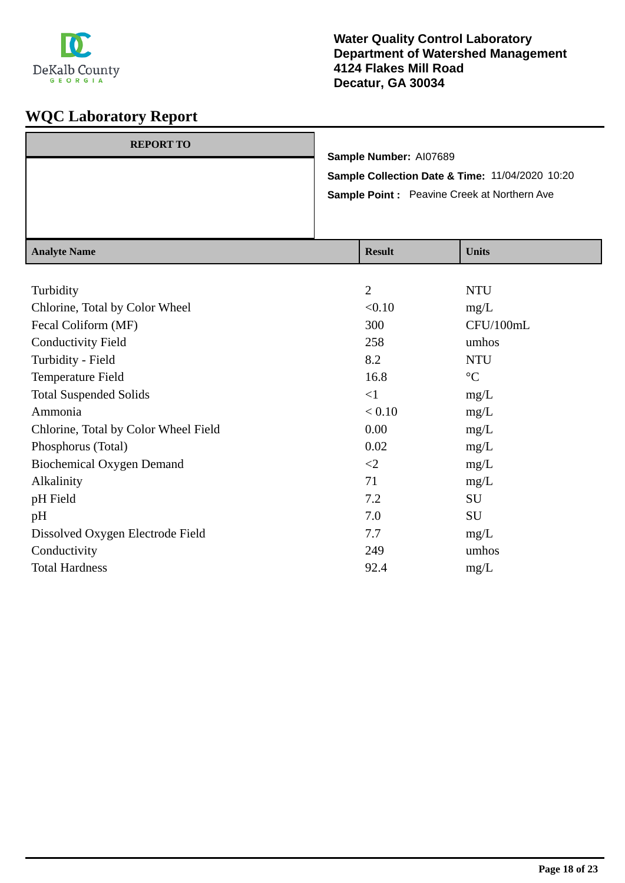

| <b>REPORT TO</b> |                                                    |  |
|------------------|----------------------------------------------------|--|
|                  | Sample Number: AI07689                             |  |
|                  | Sample Collection Date & Time: 11/04/2020 10:20    |  |
|                  | <b>Sample Point:</b> Peavine Creek at Northern Ave |  |
|                  |                                                    |  |
|                  |                                                    |  |

| <b>Analyte Name</b>                  | <b>Result</b>  | <b>Units</b>    |
|--------------------------------------|----------------|-----------------|
|                                      |                |                 |
| Turbidity                            | $\overline{2}$ | <b>NTU</b>      |
| Chlorine, Total by Color Wheel       | < 0.10         | mg/L            |
| Fecal Coliform (MF)                  | 300            | CFU/100mL       |
| <b>Conductivity Field</b>            | 258            | umhos           |
| Turbidity - Field                    | 8.2            | <b>NTU</b>      |
| Temperature Field                    | 16.8           | $\rm ^{\circ}C$ |
| <b>Total Suspended Solids</b>        | $\leq$ 1       | mg/L            |
| Ammonia                              | < 0.10         | mg/L            |
| Chlorine, Total by Color Wheel Field | 0.00           | mg/L            |
| Phosphorus (Total)                   | 0.02           | mg/L            |
| <b>Biochemical Oxygen Demand</b>     | $\leq$         | mg/L            |
| Alkalinity                           | 71             | mg/L            |
| pH Field                             | 7.2            | SU              |
| pH                                   | 7.0            | SU              |
| Dissolved Oxygen Electrode Field     | 7.7            | mg/L            |
| Conductivity                         | 249            | umhos           |
| <b>Total Hardness</b>                | 92.4           | mg/L            |
|                                      |                |                 |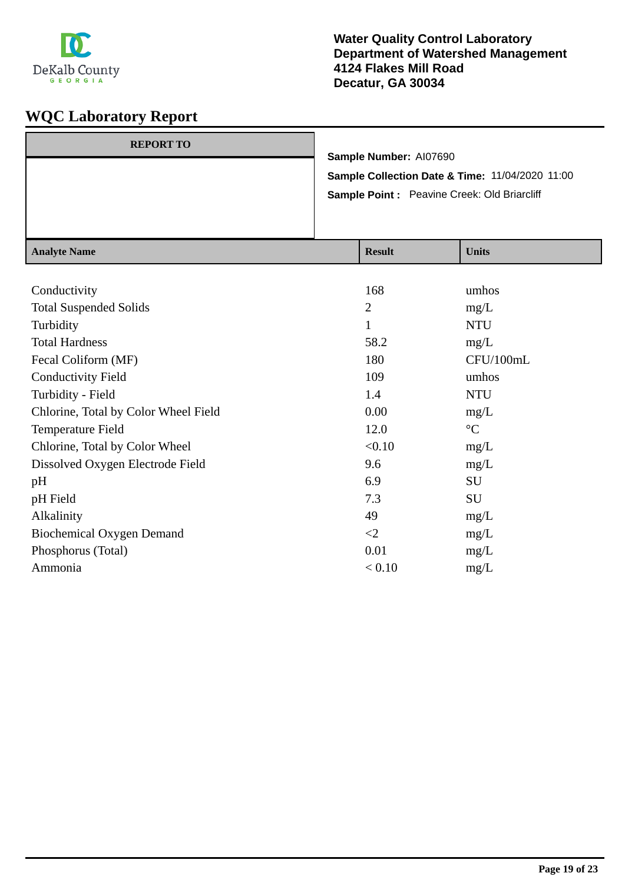

| <b>REPORT TO</b> |                                                 |
|------------------|-------------------------------------------------|
|                  | Sample Number: AI07690                          |
|                  | Sample Collection Date & Time: 11/04/2020 11:00 |
|                  | Sample Point: Peavine Creek: Old Briarcliff     |
|                  |                                                 |
|                  |                                                 |

| <b>Result</b>  | <b>Units</b>    |
|----------------|-----------------|
|                |                 |
| 168            | umhos           |
| $\overline{2}$ | mg/L            |
| $\mathbf{1}$   | <b>NTU</b>      |
| 58.2           | mg/L            |
| 180            | CFU/100mL       |
| 109            | umhos           |
| 1.4            | <b>NTU</b>      |
| 0.00           | mg/L            |
| 12.0           | $\rm ^{\circ}C$ |
| < 0.10         | mg/L            |
| 9.6            | mg/L            |
| 6.9            | SU              |
| 7.3            | SU              |
| 49             | mg/L            |
| $\leq$         | mg/L            |
| 0.01           | mg/L            |
| < 0.10         | mg/L            |
|                |                 |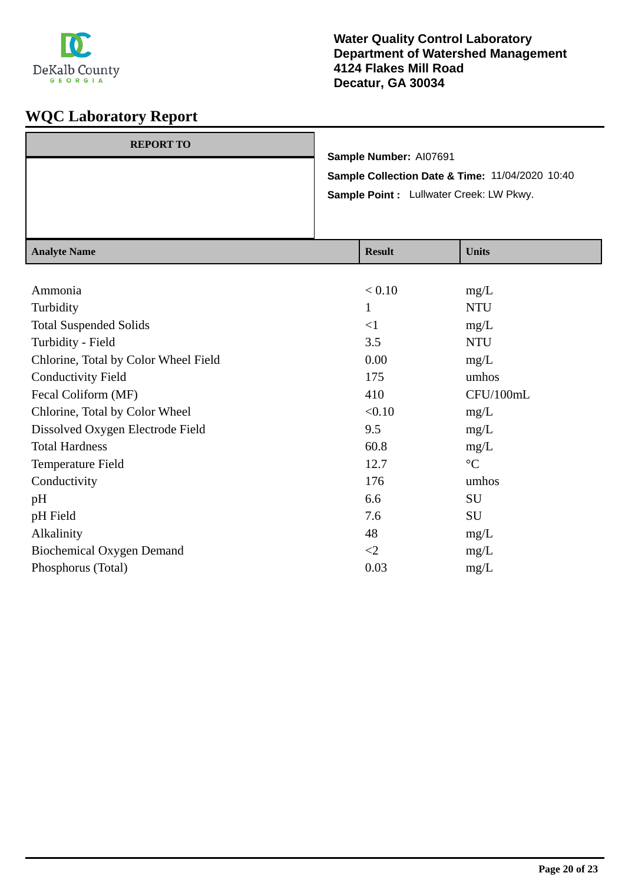

| <b>REPORT TO</b> |                                                 |
|------------------|-------------------------------------------------|
|                  | Sample Number: AI07691                          |
|                  | Sample Collection Date & Time: 11/04/2020 10:40 |
|                  | Sample Point : Lullwater Creek: LW Pkwy.        |
|                  |                                                 |
|                  |                                                 |

| <b>Analyte Name</b>                  | <b>Result</b> | <b>Units</b>    |
|--------------------------------------|---------------|-----------------|
|                                      |               |                 |
| Ammonia                              | < 0.10        | mg/L            |
| Turbidity                            | 1             | <b>NTU</b>      |
| <b>Total Suspended Solids</b>        | $\leq$ 1      | mg/L            |
| Turbidity - Field                    | 3.5           | <b>NTU</b>      |
| Chlorine, Total by Color Wheel Field | 0.00          | mg/L            |
| <b>Conductivity Field</b>            | 175           | umhos           |
| Fecal Coliform (MF)                  | 410           | CFU/100mL       |
| Chlorine, Total by Color Wheel       | < 0.10        | mg/L            |
| Dissolved Oxygen Electrode Field     | 9.5           | mg/L            |
| <b>Total Hardness</b>                | 60.8          | mg/L            |
| Temperature Field                    | 12.7          | $\rm ^{\circ}C$ |
| Conductivity                         | 176           | umhos           |
| pH                                   | 6.6           | SU              |
| pH Field                             | 7.6           | SU              |
| Alkalinity                           | 48            | mg/L            |
| Biochemical Oxygen Demand            | $\leq$        | mg/L            |
| Phosphorus (Total)                   | 0.03          | mg/L            |
|                                      |               |                 |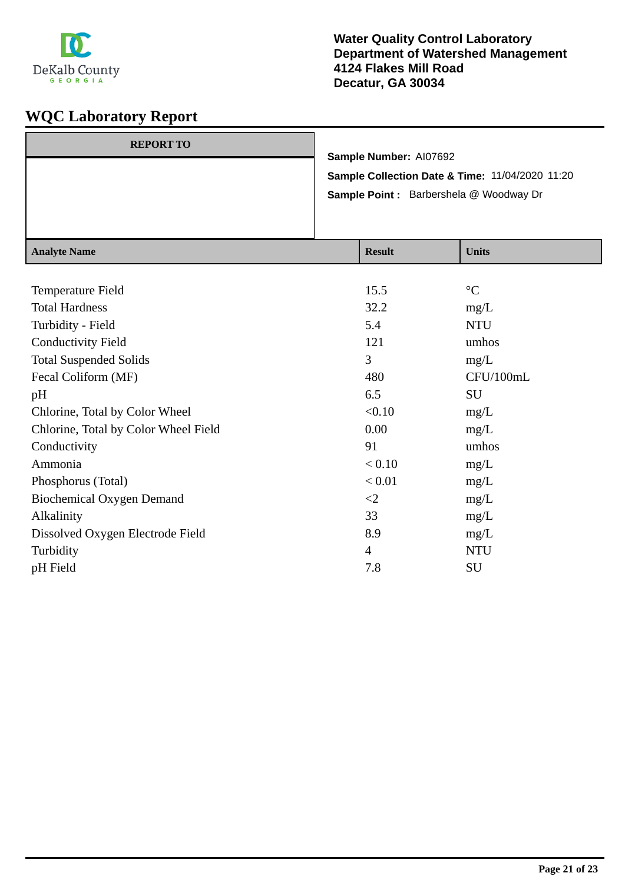

| <b>REPORT TO</b> |                                                 |
|------------------|-------------------------------------------------|
|                  | Sample Number: AI07692                          |
|                  | Sample Collection Date & Time: 11/04/2020 11:20 |
|                  | Sample Point: Barbershela @ Woodway Dr          |
|                  |                                                 |
|                  |                                                 |

| <b>Analyte Name</b>                  | <b>Result</b>  | <b>Units</b>    |
|--------------------------------------|----------------|-----------------|
|                                      |                |                 |
| Temperature Field                    | 15.5           | $\rm ^{\circ}C$ |
| <b>Total Hardness</b>                | 32.2           | mg/L            |
| Turbidity - Field                    | 5.4            | <b>NTU</b>      |
| <b>Conductivity Field</b>            | 121            | umhos           |
| <b>Total Suspended Solids</b>        | 3              | mg/L            |
| Fecal Coliform (MF)                  | 480            | CFU/100mL       |
| pH                                   | 6.5            | SU              |
| Chlorine, Total by Color Wheel       | < 0.10         | mg/L            |
| Chlorine, Total by Color Wheel Field | 0.00           | mg/L            |
| Conductivity                         | 91             | umhos           |
| Ammonia                              | < 0.10         | mg/L            |
| Phosphorus (Total)                   | < 0.01         | mg/L            |
| <b>Biochemical Oxygen Demand</b>     | $\leq$ 2       | mg/L            |
| Alkalinity                           | 33             | mg/L            |
| Dissolved Oxygen Electrode Field     | 8.9            | mg/L            |
| Turbidity                            | $\overline{4}$ | <b>NTU</b>      |
| pH Field                             | 7.8            | SU              |
|                                      |                |                 |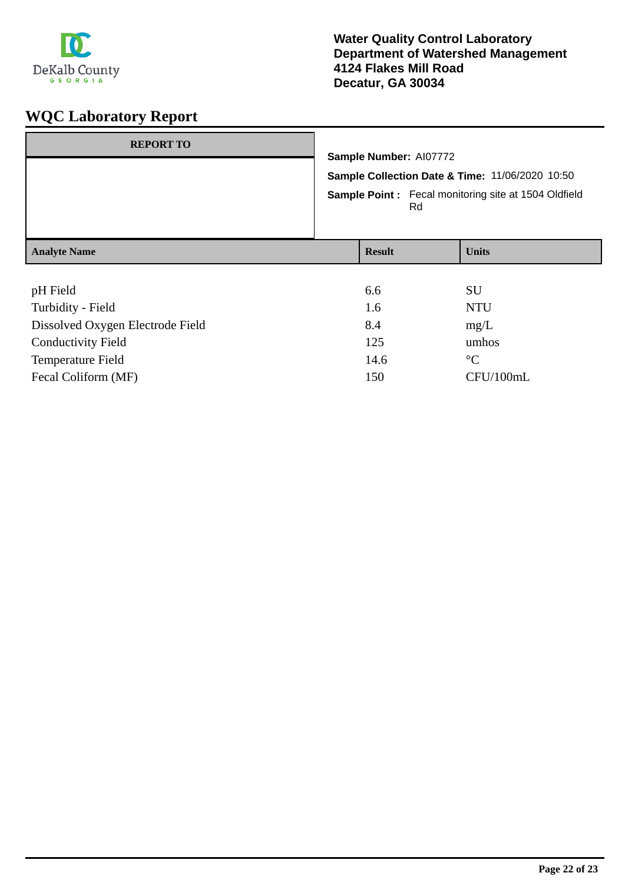

| <b>REPORT TO</b>                 | Sample Number: AI07772<br>Sample Collection Date & Time: 11/06/2020 10:50<br><b>Sample Point:</b> Fecal monitoring site at 1504 Oldfield |               |    |              |
|----------------------------------|------------------------------------------------------------------------------------------------------------------------------------------|---------------|----|--------------|
|                                  |                                                                                                                                          |               | Rd |              |
| <b>Analyte Name</b>              |                                                                                                                                          | <b>Result</b> |    | <b>Units</b> |
|                                  |                                                                                                                                          |               |    |              |
| pH Field                         |                                                                                                                                          | 6.6           |    | <b>SU</b>    |
| Turbidity - Field                |                                                                                                                                          | 1.6           |    | <b>NTU</b>   |
| Dissolved Oxygen Electrode Field |                                                                                                                                          | 8.4           |    | mg/L         |

| <b>Conductivity Field</b> | 125  | umhos       |
|---------------------------|------|-------------|
| Temperature Field         | 14.6 | $^{\circ}C$ |
| Fecal Coliform (MF)       | 150  | CFU/100mL   |